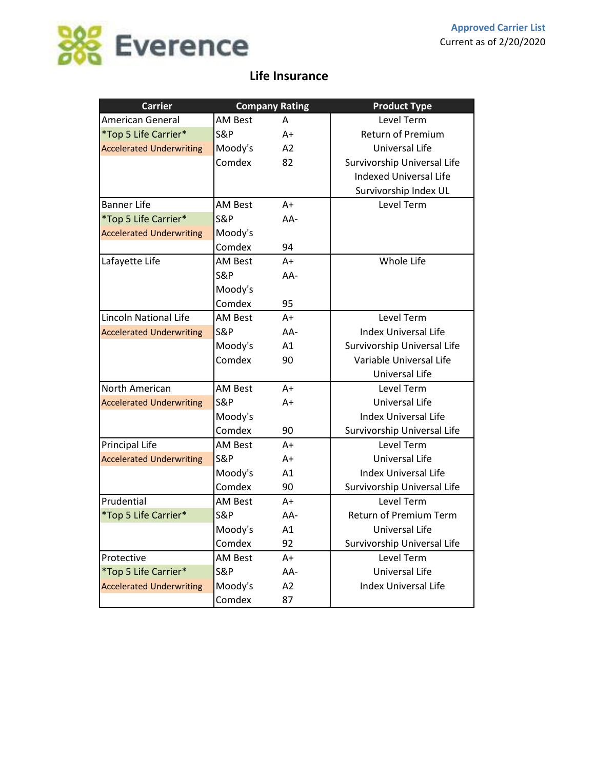

### **Life Insurance**

| <b>Carrier</b>                  |                | <b>Company Rating</b> | <b>Product Type</b>           |
|---------------------------------|----------------|-----------------------|-------------------------------|
| American General                | <b>AM Best</b> | A                     | Level Term                    |
| *Top 5 Life Carrier*            | <b>S&amp;P</b> | $A+$                  | <b>Return of Premium</b>      |
| <b>Accelerated Underwriting</b> | Moody's        | A2                    | Universal Life                |
|                                 | Comdex         | 82                    | Survivorship Universal Life   |
|                                 |                |                       | <b>Indexed Universal Life</b> |
|                                 |                |                       | Survivorship Index UL         |
| <b>Banner Life</b>              | <b>AM Best</b> | $A+$                  | Level Term                    |
| *Top 5 Life Carrier*            | <b>S&amp;P</b> | AA-                   |                               |
| <b>Accelerated Underwriting</b> | Moody's        |                       |                               |
|                                 | Comdex         | 94                    |                               |
| Lafayette Life                  | <b>AM Best</b> | $A+$                  | Whole Life                    |
|                                 | <b>S&amp;P</b> | AA-                   |                               |
|                                 | Moody's        |                       |                               |
|                                 | Comdex         | 95                    |                               |
| <b>Lincoln National Life</b>    | <b>AM Best</b> | $A+$                  | Level Term                    |
| <b>Accelerated Underwriting</b> | <b>S&amp;P</b> | AA-                   | <b>Index Universal Life</b>   |
|                                 | Moody's        | A1                    | Survivorship Universal Life   |
|                                 | Comdex         | 90                    | Variable Universal Life       |
|                                 |                |                       | Universal Life                |
| North American                  | <b>AM Best</b> | $A+$                  | Level Term                    |
| <b>Accelerated Underwriting</b> | <b>S&amp;P</b> | $A+$                  | Universal Life                |
|                                 | Moody's        |                       | <b>Index Universal Life</b>   |
|                                 | Comdex         | 90                    | Survivorship Universal Life   |
| Principal Life                  | <b>AM Best</b> | $A+$                  | Level Term                    |
| <b>Accelerated Underwriting</b> | <b>S&amp;P</b> | A+                    | Universal Life                |
|                                 | Moody's        | A1                    | <b>Index Universal Life</b>   |
|                                 | Comdex         | 90                    | Survivorship Universal Life   |
| Prudential                      | AM Best        | $A +$                 | <b>Level Term</b>             |
| *Top 5 Life Carrier*            | <b>S&amp;P</b> | AA-                   | Return of Premium Term        |
|                                 | Moody's        | A1                    | Universal Life                |
|                                 | Comdex         | 92                    | Survivorship Universal Life   |
| Protective                      | <b>AM Best</b> | $A+$                  | Level Term                    |
| *Top 5 Life Carrier*            | <b>S&amp;P</b> | AA-                   | Universal Life                |
| <b>Accelerated Underwriting</b> | Moody's        | A2                    | <b>Index Universal Life</b>   |
|                                 | Comdex         | 87                    |                               |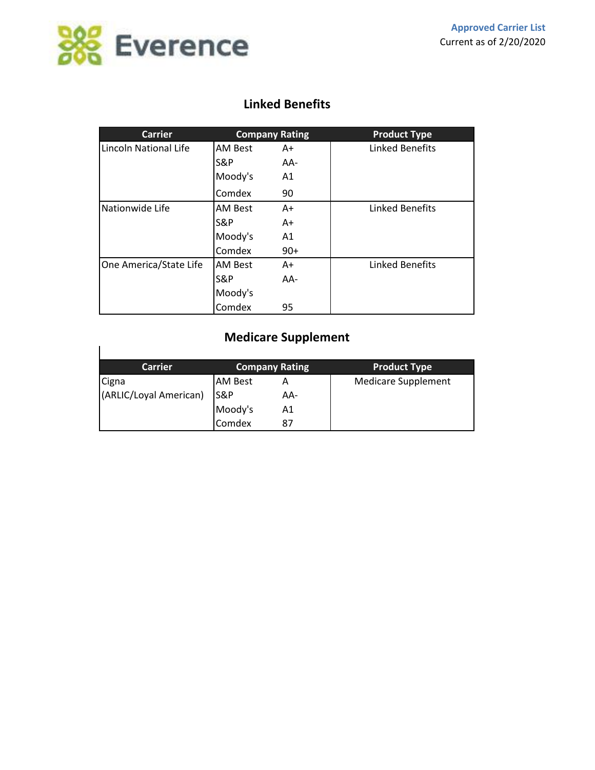

#### **Linked Benefits**

| <b>Carrier</b>         | <b>Company Rating</b> |       | <b>Product Type</b>    |  |
|------------------------|-----------------------|-------|------------------------|--|
| Lincoln National Life  | <b>AM Best</b>        | A+    | <b>Linked Benefits</b> |  |
|                        | S&P                   | AA-   |                        |  |
|                        | Moody's               | A1    |                        |  |
|                        | Comdex                | 90    |                        |  |
| Nationwide Life        | <b>AM Best</b>        | A+    | <b>Linked Benefits</b> |  |
|                        | S&P                   | A+    |                        |  |
|                        | Moody's               | A1    |                        |  |
|                        | Comdex                | $90+$ |                        |  |
| One America/State Life | <b>AM Best</b>        | A+    | <b>Linked Benefits</b> |  |
|                        | S&P                   | AA-   |                        |  |
|                        | Moody's               |       |                        |  |
|                        | Comdex                | 95    |                        |  |

# **Medicare Supplement**

| <b>Carrier</b>         | Company Rating |     | <b>Product Type</b>        |
|------------------------|----------------|-----|----------------------------|
| Cigna                  | <b>AM Best</b> |     | <b>Medicare Supplement</b> |
| (ARLIC/Loyal American) | <b>S&amp;P</b> | AA- |                            |
|                        | Moody's        | Α1  |                            |
|                        | Comdex         | 87  |                            |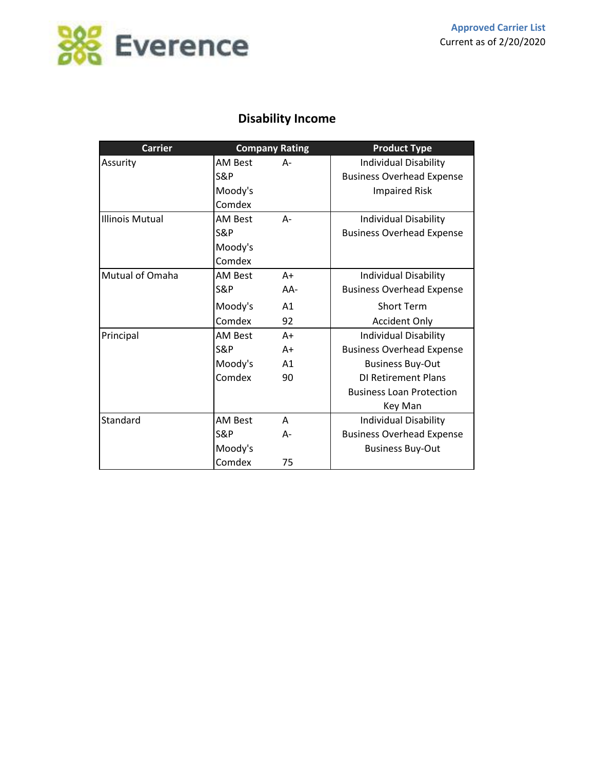

# **Disability Income**

| <b>Carrier</b>         |                | <b>Company Rating</b> | <b>Product Type</b>              |  |  |
|------------------------|----------------|-----------------------|----------------------------------|--|--|
| Assurity               | <b>AM Best</b> | А-                    | <b>Individual Disability</b>     |  |  |
|                        | S&P            |                       | <b>Business Overhead Expense</b> |  |  |
|                        | Moody's        |                       | <b>Impaired Risk</b>             |  |  |
|                        | Comdex         |                       |                                  |  |  |
| <b>Illinois Mutual</b> | AM Best        | А-                    | Individual Disability            |  |  |
|                        | S&P            |                       | <b>Business Overhead Expense</b> |  |  |
|                        | Moody's        |                       |                                  |  |  |
|                        | Comdex         |                       |                                  |  |  |
| Mutual of Omaha        | AM Best        | $A+$                  | Individual Disability            |  |  |
|                        | S&P            | $AA-$                 | <b>Business Overhead Expense</b> |  |  |
|                        | Moody's        | A1                    | <b>Short Term</b>                |  |  |
|                        | Comdex         | 92                    | <b>Accident Only</b>             |  |  |
| Principal              | AM Best        | $A+$                  | <b>Individual Disability</b>     |  |  |
|                        | <b>S&amp;P</b> | $A+$                  | <b>Business Overhead Expense</b> |  |  |
|                        | Moody's        | A <sub>1</sub>        | <b>Business Buy-Out</b>          |  |  |
|                        | Comdex         | 90                    | DI Retirement Plans              |  |  |
|                        |                |                       | <b>Business Loan Protection</b>  |  |  |
|                        |                |                       | Key Man                          |  |  |
| Standard               | <b>AM Best</b> | A                     | <b>Individual Disability</b>     |  |  |
|                        | S&P            | А-                    | <b>Business Overhead Expense</b> |  |  |
|                        | Moody's        |                       | <b>Business Buy-Out</b>          |  |  |
|                        | Comdex         | 75                    |                                  |  |  |